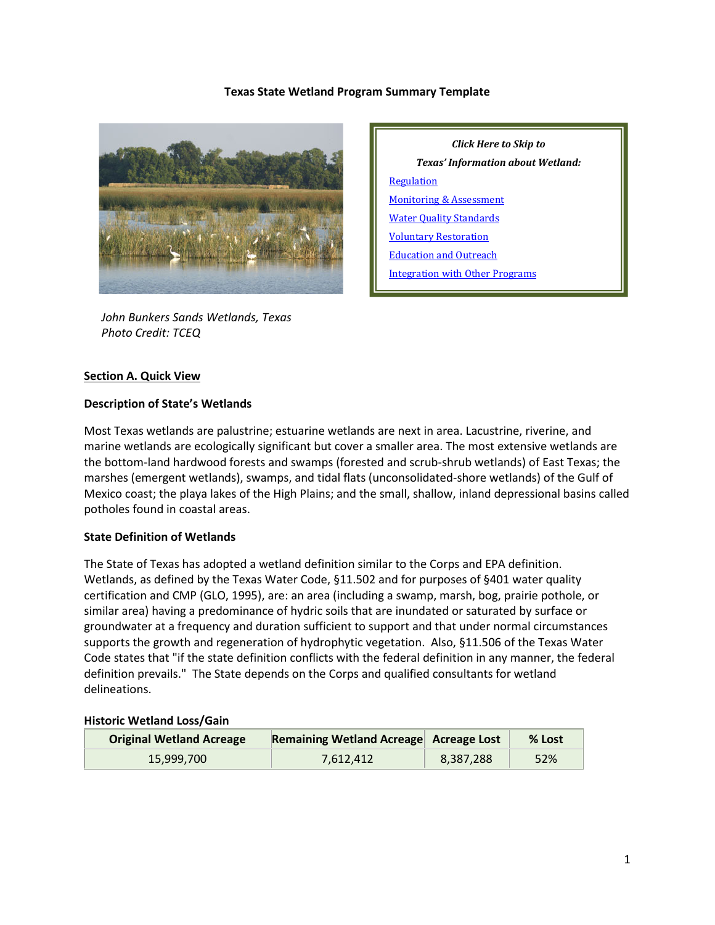### **Texas State Wetland Program Summary Template**



 *John Bunkers Sands Wetlands, Texas Photo Credit: TCEQ*

## **Section A. Quick View**

#### **Description of State's Wetlands**

Most Texas wetlands are palustrine; estuarine wetlands are next in area. Lacustrine, riverine, and marine wetlands are ecologically significant but cover a smaller area. The most extensive wetlands are the bottom-land hardwood forests and swamps (forested and scrub-shrub wetlands) of East Texas; the marshes (emergent wetlands), swamps, and tidal flats (unconsolidated-shore wetlands) of the Gulf of Mexico coast; the playa lakes of the High Plains; and the small, shallow, inland depressional basins called potholes found in coastal areas.

#### **State Definition of Wetlands**

The State of Texas has adopted a wetland definition similar to the Corps and EPA definition. Wetlands, as defined by the Texas Water Code, §11.502 and for purposes of §401 water quality certification and CMP (GLO, 1995), are: an area (including a swamp, marsh, bog, prairie pothole, or similar area) having a predominance of hydric soils that are inundated or saturated by surface or groundwater at a frequency and duration sufficient to support and that under normal circumstances supports the growth and regeneration of hydrophytic vegetation. Also, §11.506 of the Texas Water Code states that "if the state definition conflicts with the federal definition in any manner, the federal definition prevails." The State depends on the Corps and qualified consultants for wetland delineations.

#### **Historic Wetland Loss/Gain**

| <b>Original Wetland Acreage</b> | Remaining Wetland Acreage Acreage Lost |           | % Lost |
|---------------------------------|----------------------------------------|-----------|--------|
| 15,999,700                      | 7.612.412                              | 8,387,288 | 52%    |

*Click Here to Skip to Texas' Information about Wetland:* **[Regulation](#page-2-0)** [Monitoring & Assessment](#page-4-0) [Water Quality Standards](#page-6-0) [Voluntary Restoration](#page-7-0) [Education and Outreach](#page-8-0) [Integration with Other Programs](#page-8-1)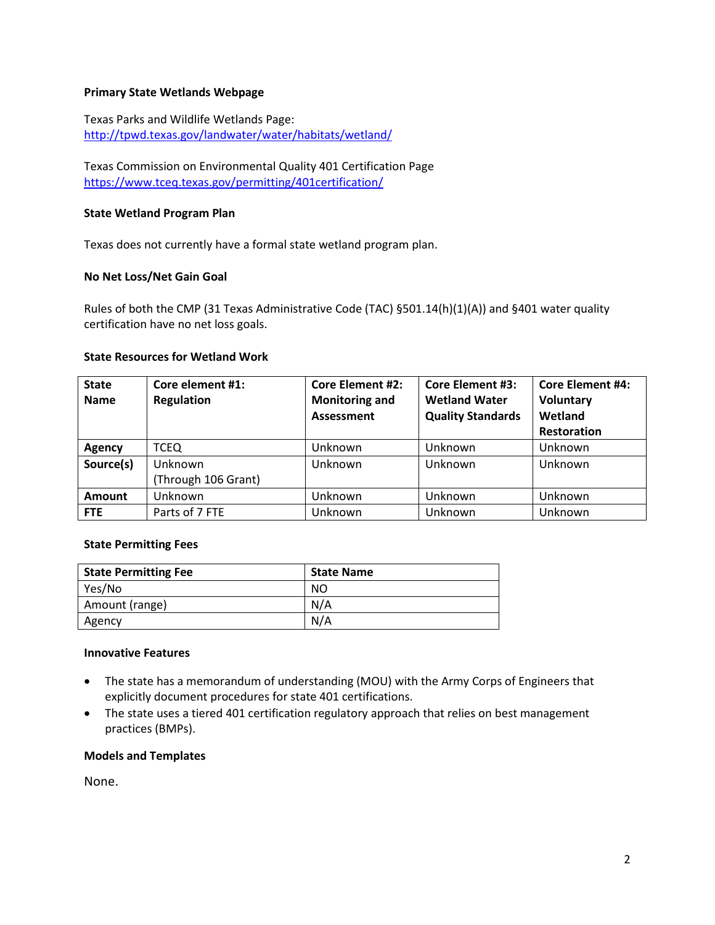### **Primary State Wetlands Webpage**

Texas Parks and Wildlife Wetlands Page: <http://tpwd.texas.gov/landwater/water/habitats/wetland/>

Texas Commission on Environmental Quality 401 Certification Page <https://www.tceq.texas.gov/permitting/401certification/>

### **State Wetland Program Plan**

Texas does not currently have a formal state wetland program plan.

### **No Net Loss/Net Gain Goal**

Rules of both the CMP (31 Texas Administrative Code (TAC) §501.14(h)(1)(A)) and §401 water quality certification have no net loss goals.

### **State Resources for Wetland Work**

| <b>State</b><br><b>Name</b> | Core element #1:<br><b>Regulation</b> | <b>Core Element #2:</b><br><b>Monitoring and</b><br>Assessment | <b>Core Element #3:</b><br><b>Wetland Water</b><br><b>Quality Standards</b> | <b>Core Element #4:</b><br>Voluntary<br>Wetland<br><b>Restoration</b> |
|-----------------------------|---------------------------------------|----------------------------------------------------------------|-----------------------------------------------------------------------------|-----------------------------------------------------------------------|
| <b>Agency</b>               | <b>TCEQ</b>                           | Unknown                                                        | Unknown                                                                     | Unknown                                                               |
| Source(s)                   | Unknown                               | Unknown                                                        | Unknown                                                                     | Unknown                                                               |
|                             | (Through 106 Grant)                   |                                                                |                                                                             |                                                                       |
| <b>Amount</b>               | Unknown                               | Unknown                                                        | Unknown                                                                     | Unknown                                                               |
| <b>FTE</b>                  | Parts of 7 FTE                        | Unknown                                                        | Unknown                                                                     | Unknown                                                               |

#### **State Permitting Fees**

| <b>State Permitting Fee</b> | <b>State Name</b> |
|-----------------------------|-------------------|
| Yes/No                      | NO                |
| Amount (range)              | N/A               |
| Agency                      | N/A               |

#### **Innovative Features**

- The state has a memorandum of understanding (MOU) with the Army Corps of Engineers that explicitly document procedures for state 401 certifications.
- The state uses a tiered 401 certification regulatory approach that relies on best management practices (BMPs).

#### **Models and Templates**

None.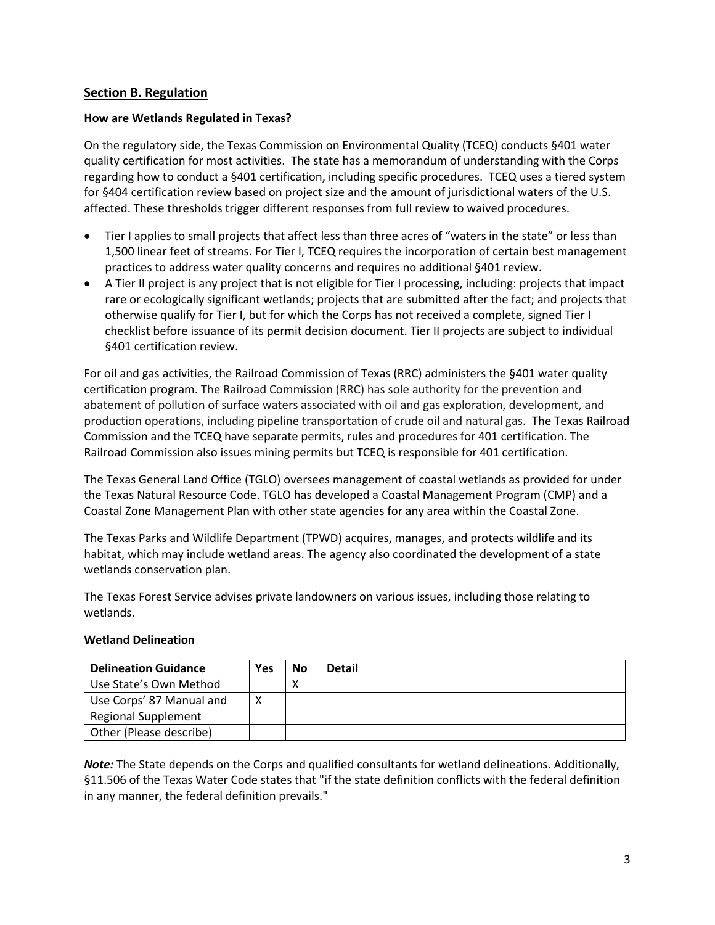## <span id="page-2-0"></span>**Section B. Regulation**

### **How are Wetlands Regulated in Texas?**

On the regulatory side, the Texas Commission on Environmental Quality (TCEQ) conducts §401 water quality certification for most activities. The state has a memorandum of understanding with the Corps regarding how to conduct a §401 certification, including specific procedures. TCEQ uses a tiered system for §404 certification review based on project size and the amount of jurisdictional waters of the U.S. affected. These thresholds trigger different responses from full review to waived procedures.

- Tier I applies to small projects that affect less than three acres of "waters in the state" or less than 1,500 linear feet of streams. For Tier I, TCEQ requires the incorporation of certain best management practices to address water quality concerns and requires no additional §401 review.
- A Tier II project is any project that is not eligible for Tier I processing, including: projects that impact rare or ecologically significant wetlands; projects that are submitted after the fact; and projects that otherwise qualify for Tier I, but for which the Corps has not received a complete, signed Tier I checklist before issuance of its permit decision document. Tier II projects are subject to individual §401 certification review.

For oil and gas activities, the Railroad Commission of Texas (RRC) administers the §401 water quality certification program. The Railroad Commission (RRC) has sole authority for the prevention and abatement of pollution of surface waters associated with oil and gas exploration, development, and production operations, including pipeline transportation of crude oil and natural gas. The Texas Railroad Commission and the TCEQ have separate permits, rules and procedures for 401 certification. The Railroad Commission also issues mining permits but TCEQ is responsible for 401 certification.

The Texas General Land Office (TGLO) oversees management of coastal wetlands as provided for under the Texas Natural Resource Code. TGLO has developed a Coastal Management Program (CMP) and a Coastal Zone Management Plan with other state agencies for any area within the Coastal Zone.

The Texas Parks and Wildlife Department (TPWD) acquires, manages, and protects wildlife and its habitat, which may include wetland areas. The agency also coordinated the development of a state wetlands conservation plan.

The Texas Forest Service advises private landowners on various issues, including those relating to wetlands.

# **Wetland Delineation**

| <b>Delineation Guidance</b> | Yes | <b>No</b> | <b>Detail</b> |
|-----------------------------|-----|-----------|---------------|
| Use State's Own Method      |     |           |               |
| Use Corps' 87 Manual and    |     |           |               |
| <b>Regional Supplement</b>  |     |           |               |
| Other (Please describe)     |     |           |               |

*Note:* The State depends on the Corps and qualified consultants for wetland delineations. Additionally, §11.506 of the Texas Water Code states that "if the state definition conflicts with the federal definition in any manner, the federal definition prevails."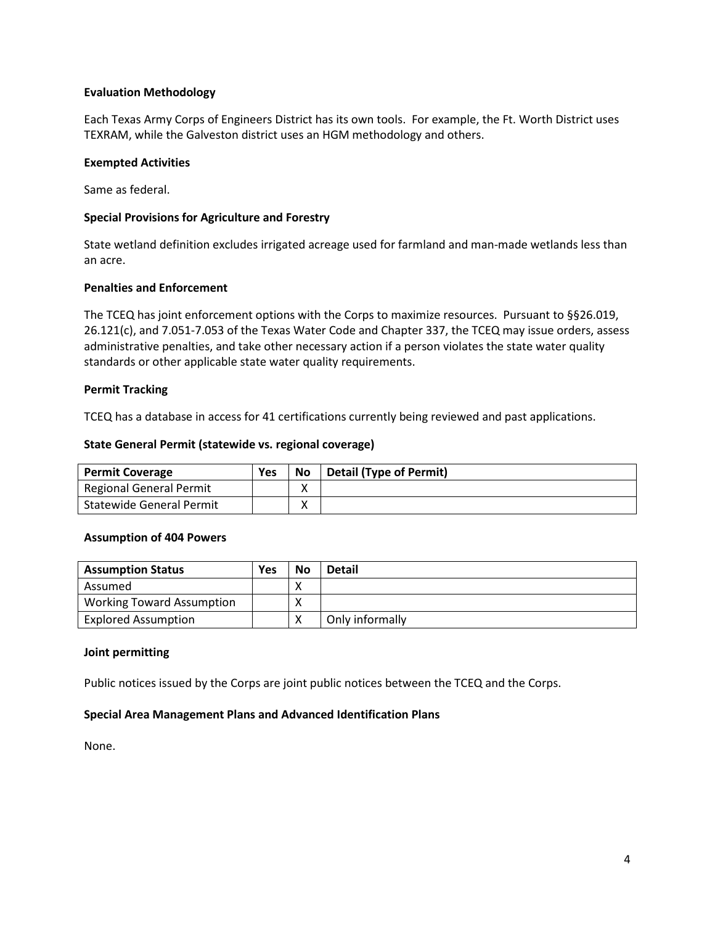## **Evaluation Methodology**

Each Texas Army Corps of Engineers District has its own tools. For example, the Ft. Worth District uses TEXRAM, while the Galveston district uses an HGM methodology and others.

## **Exempted Activities**

Same as federal.

## **Special Provisions for Agriculture and Forestry**

State wetland definition excludes irrigated acreage used for farmland and man-made wetlands less than an acre.

### **Penalties and Enforcement**

The TCEQ has joint enforcement options with the Corps to maximize resources. Pursuant to §§26.019, 26.121(c), and 7.051-7.053 of the Texas Water Code and Chapter 337, the TCEQ may issue orders, assess administrative penalties, and take other necessary action if a person violates the state water quality standards or other applicable state water quality requirements.

### **Permit Tracking**

TCEQ has a database in access for 41 certifications currently being reviewed and past applications.

### **State General Permit (statewide vs. regional coverage)**

| <b>Permit Coverage</b>          | Yes | No     | <b>Detail (Type of Permit)</b> |
|---------------------------------|-----|--------|--------------------------------|
| <b>Regional General Permit</b>  |     | v<br>Λ |                                |
| <b>Statewide General Permit</b> |     | v<br>Λ |                                |

## **Assumption of 404 Powers**

| <b>Assumption Status</b>         | Yes | No | <b>Detail</b>   |
|----------------------------------|-----|----|-----------------|
| Assumed                          |     | ↗  |                 |
| <b>Working Toward Assumption</b> |     |    |                 |
| <b>Explored Assumption</b>       |     |    | Only informally |

#### **Joint permitting**

Public notices issued by the Corps are joint public notices between the TCEQ and the Corps.

## **Special Area Management Plans and Advanced Identification Plans**

None.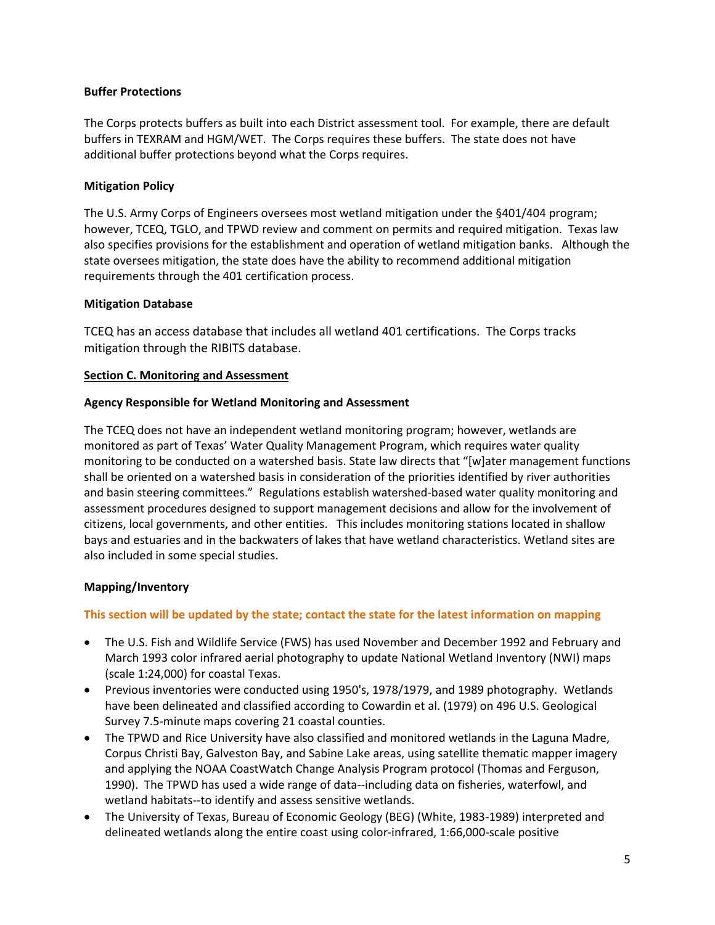## **Buffer Protections**

The Corps protects buffers as built into each District assessment tool. For example, there are default buffers in TEXRAM and HGM/WET. The Corps requires these buffers. The state does not have additional buffer protections beyond what the Corps requires.

## **Mitigation Policy**

The U.S. Army Corps of Engineers oversees most wetland mitigation under the §401/404 program; however, TCEQ, TGLO, and TPWD review and comment on permits and required mitigation. Texas law also specifies provisions for the establishment and operation of wetland mitigation banks. Although the state oversees mitigation, the state does have the ability to recommend additional mitigation requirements through the 401 certification process.

## **Mitigation Database**

TCEQ has an access database that includes all wetland 401 certifications. The Corps tracks mitigation through the RIBITS database.

## <span id="page-4-0"></span>**Section C. Monitoring and Assessment**

## **Agency Responsible for Wetland Monitoring and Assessment**

The TCEQ does not have an independent wetland monitoring program; however, wetlands are monitored as part of Texas' Water Quality Management Program, which requires water quality monitoring to be conducted on a watershed basis. State law directs that "[w]ater management functions shall be oriented on a watershed basis in consideration of the priorities identified by river authorities and basin steering committees." Regulations establish watershed-based water quality monitoring and assessment procedures designed to support management decisions and allow for the involvement of citizens, local governments, and other entities. This includes monitoring stations located in shallow bays and estuaries and in the backwaters of lakes that have wetland characteristics. Wetland sites are also included in some special studies.

## **Mapping/Inventory**

## **This section will be updated by the state; contact the state for the latest information on mapping**

- The U.S. Fish and Wildlife Service (FWS) has used November and December 1992 and February and March 1993 color infrared aerial photography to update National Wetland Inventory (NWI) maps (scale 1:24,000) for coastal Texas.
- Previous inventories were conducted using 1950's, 1978/1979, and 1989 photography. Wetlands have been delineated and classified according to Cowardin et al. (1979) on 496 U.S. Geological Survey 7.5-minute maps covering 21 coastal counties.
- The TPWD and Rice University have also classified and monitored wetlands in the Laguna Madre, Corpus Christi Bay, Galveston Bay, and Sabine Lake areas, using satellite thematic mapper imagery and applying the NOAA CoastWatch Change Analysis Program protocol (Thomas and Ferguson, 1990). The TPWD has used a wide range of data--including data on fisheries, waterfowl, and wetland habitats--to identify and assess sensitive wetlands.
- The University of Texas, Bureau of Economic Geology (BEG) (White, 1983-1989) interpreted and delineated wetlands along the entire coast using color-infrared, 1:66,000-scale positive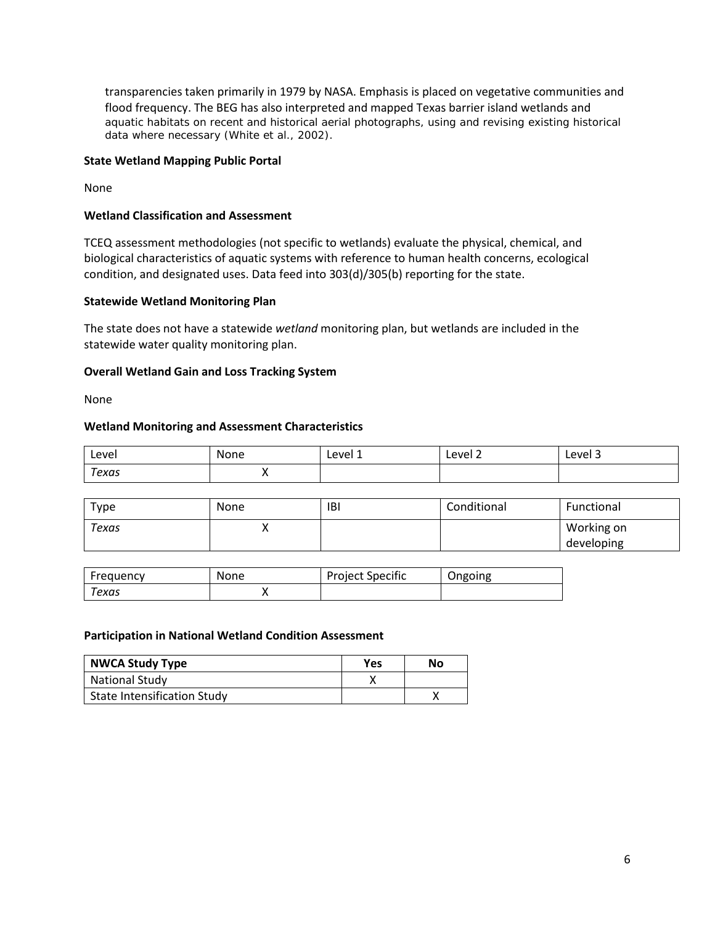transparencies taken primarily in 1979 by NASA. Emphasis is placed on vegetative communities and flood frequency. The BEG has also interpreted and mapped Texas barrier island wetlands and aquatic habitats on recent and historical aerial photographs, using and revising existing historical data where necessary (White et al., 2002).

## **State Wetland Mapping Public Portal**

None

### **Wetland Classification and Assessment**

TCEQ assessment methodologies (not specific to wetlands) evaluate the physical, chemical, and biological characteristics of aquatic systems with reference to human health concerns, ecological condition, and designated uses. Data feed into 303(d)/305(b) reporting for the state.

### **Statewide Wetland Monitoring Plan**

The state does not have a statewide *wetland* monitoring plan, but wetlands are included in the statewide water quality monitoring plan.

### **Overall Wetland Gain and Loss Tracking System**

None

### **Wetland Monitoring and Assessment Characteristics**

| Level | None | Level 1 | Level 2 | Level 3<br>___ |
|-------|------|---------|---------|----------------|
| Texas | . .  |         |         |                |

| туре  | None                     | IBI | Conditional | Functional               |
|-------|--------------------------|-----|-------------|--------------------------|
| Texas | $\overline{\phantom{a}}$ |     |             | Working on<br>developing |

| Frequency | None | <b>Project Specific</b> | Ongoing |
|-----------|------|-------------------------|---------|
| Texas     |      |                         |         |

#### **Participation in National Wetland Condition Assessment**

| <b>NWCA Study Type</b>             | Yes | No |
|------------------------------------|-----|----|
| <b>National Study</b>              |     |    |
| <b>State Intensification Study</b> |     |    |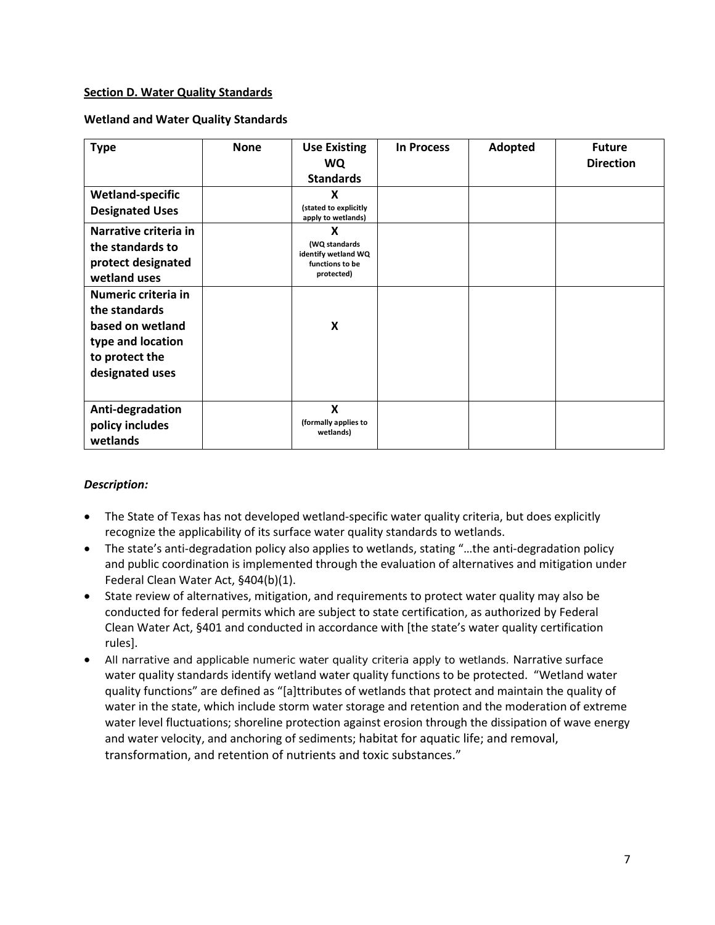## <span id="page-6-0"></span>**Section D. Water Quality Standards**

### **Wetland and Water Quality Standards**

| <b>Type</b>                                                                                                        | <b>None</b> | <b>Use Existing</b><br>WQ.<br><b>Standards</b>                             | <b>In Process</b> | Adopted | <b>Future</b><br><b>Direction</b> |
|--------------------------------------------------------------------------------------------------------------------|-------------|----------------------------------------------------------------------------|-------------------|---------|-----------------------------------|
| <b>Wetland-specific</b><br><b>Designated Uses</b>                                                                  |             | X<br>(stated to explicitly<br>apply to wetlands)                           |                   |         |                                   |
| Narrative criteria in<br>the standards to<br>protect designated<br>wetland uses                                    |             | X<br>(WQ standards<br>identify wetland WQ<br>functions to be<br>protected) |                   |         |                                   |
| Numeric criteria in<br>the standards<br>based on wetland<br>type and location<br>to protect the<br>designated uses |             | X                                                                          |                   |         |                                   |
| Anti-degradation<br>policy includes<br>wetlands                                                                    |             | X<br>(formally applies to<br>wetlands)                                     |                   |         |                                   |

## *Description:*

- The State of Texas has not developed wetland-specific water quality criteria, but does explicitly recognize the applicability of its surface water quality standards to wetlands.
- The state's anti-degradation policy also applies to wetlands, stating "…the anti-degradation policy and public coordination is implemented through the evaluation of alternatives and mitigation under Federal Clean Water Act, §404(b)(1).
- State review of alternatives, mitigation, and requirements to protect water quality may also be conducted for federal permits which are subject to state certification, as authorized by Federal Clean Water Act, §401 and conducted in accordance with [the state's water quality certification rules].
- All narrative and applicable numeric water quality criteria apply to wetlands. Narrative surface water quality standards identify wetland water quality functions to be protected. "Wetland water quality functions" are defined as "[a]ttributes of wetlands that protect and maintain the quality of water in the state, which include storm water storage and retention and the moderation of extreme water level fluctuations; shoreline protection against erosion through the dissipation of wave energy and water velocity, and anchoring of sediments; habitat for aquatic life; and removal, transformation, and retention of nutrients and toxic substances."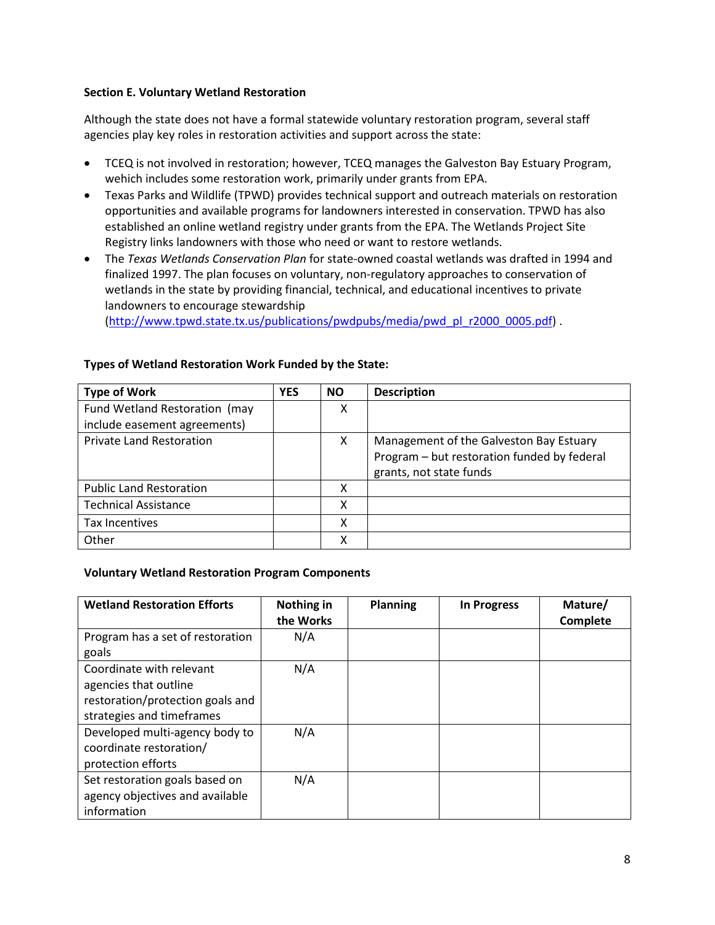## <span id="page-7-0"></span>**Section E. Voluntary Wetland Restoration**

Although the state does not have a formal statewide voluntary restoration program, several staff agencies play key roles in restoration activities and support across the state:

- TCEQ is not involved in restoration; however, TCEQ manages the Galveston Bay Estuary Program, wehich includes some restoration work, primarily under grants from EPA.
- Texas Parks and Wildlife (TPWD) provides technical support and outreach materials on restoration opportunities and available programs for landowners interested in conservation. TPWD has also established an online wetland registry under grants from the EPA. The Wetlands Project Site Registry links landowners with those who need or want to restore wetlands.
- The *Texas Wetlands Conservation Plan* for state-owned coastal wetlands was drafted in 1994 and finalized 1997. The plan focuses on voluntary, non-regulatory approaches to conservation of wetlands in the state by providing financial, technical, and educational incentives to private landowners to encourage stewardship

[\(http://www.tpwd.state.tx.us/publications/pwdpubs/media/pwd\\_pl\\_r2000\\_0005.pdf\)](http://www.tpwd.state.tx.us/publications/pwdpubs/media/pwd_pl_r2000_0005.pdf) .

| <b>Type of Work</b>             | <b>YES</b> | <b>NO</b> | <b>Description</b>                                                                                                |
|---------------------------------|------------|-----------|-------------------------------------------------------------------------------------------------------------------|
| Fund Wetland Restoration (may   |            | X         |                                                                                                                   |
| include easement agreements)    |            |           |                                                                                                                   |
| <b>Private Land Restoration</b> |            | X         | Management of the Galveston Bay Estuary<br>Program - but restoration funded by federal<br>grants, not state funds |
| <b>Public Land Restoration</b>  |            | x         |                                                                                                                   |
| <b>Technical Assistance</b>     |            | x         |                                                                                                                   |
| Tax Incentives                  |            | x         |                                                                                                                   |
| Other                           |            | x         |                                                                                                                   |

## **Types of Wetland Restoration Work Funded by the State:**

## **Voluntary Wetland Restoration Program Components**

| <b>Wetland Restoration Efforts</b>                                                                                 | Nothing in<br>the Works | <b>Planning</b> | <b>In Progress</b> | Mature/<br>Complete |
|--------------------------------------------------------------------------------------------------------------------|-------------------------|-----------------|--------------------|---------------------|
| Program has a set of restoration<br>goals                                                                          | N/A                     |                 |                    |                     |
| Coordinate with relevant<br>agencies that outline<br>restoration/protection goals and<br>strategies and timeframes | N/A                     |                 |                    |                     |
| Developed multi-agency body to<br>coordinate restoration/<br>protection efforts                                    | N/A                     |                 |                    |                     |
| Set restoration goals based on<br>agency objectives and available<br>information                                   | N/A                     |                 |                    |                     |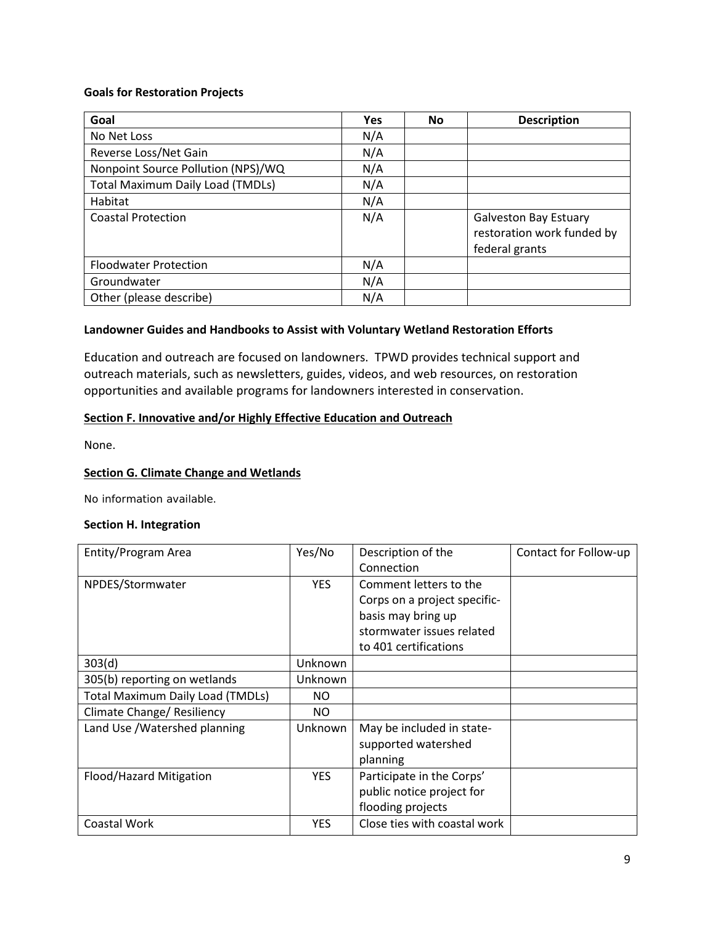## **Goals for Restoration Projects**

| Goal                                    | <b>Yes</b> | <b>No</b> | <b>Description</b>                                                           |
|-----------------------------------------|------------|-----------|------------------------------------------------------------------------------|
| No Net Loss                             | N/A        |           |                                                                              |
| Reverse Loss/Net Gain                   | N/A        |           |                                                                              |
| Nonpoint Source Pollution (NPS)/WQ      | N/A        |           |                                                                              |
| <b>Total Maximum Daily Load (TMDLs)</b> | N/A        |           |                                                                              |
| Habitat                                 | N/A        |           |                                                                              |
| <b>Coastal Protection</b>               | N/A        |           | <b>Galveston Bay Estuary</b><br>restoration work funded by<br>federal grants |
| <b>Floodwater Protection</b>            | N/A        |           |                                                                              |
| Groundwater                             | N/A        |           |                                                                              |
| Other (please describe)                 | N/A        |           |                                                                              |

### **Landowner Guides and Handbooks to Assist with Voluntary Wetland Restoration Efforts**

Education and outreach are focused on landowners. TPWD provides technical support and outreach materials, such as newsletters, guides, videos, and web resources, on restoration opportunities and available programs for landowners interested in conservation.

### <span id="page-8-0"></span>**Section F. Innovative and/or Highly Effective Education and Outreach**

None.

## **Section G. Climate Change and Wetlands**

No information available.

#### <span id="page-8-1"></span>**Section H. Integration**

| Entity/Program Area                     | Yes/No     | Description of the           | Contact for Follow-up |
|-----------------------------------------|------------|------------------------------|-----------------------|
|                                         |            | Connection                   |                       |
| NPDES/Stormwater                        | <b>YES</b> | Comment letters to the       |                       |
|                                         |            | Corps on a project specific- |                       |
|                                         |            | basis may bring up           |                       |
|                                         |            | stormwater issues related    |                       |
|                                         |            | to 401 certifications        |                       |
| 303(d)                                  | Unknown    |                              |                       |
| 305(b) reporting on wetlands            | Unknown    |                              |                       |
| <b>Total Maximum Daily Load (TMDLs)</b> | NO.        |                              |                       |
| Climate Change/ Resiliency              | NO.        |                              |                       |
| Land Use / Watershed planning           | Unknown    | May be included in state-    |                       |
|                                         |            | supported watershed          |                       |
|                                         |            | planning                     |                       |
| Flood/Hazard Mitigation                 | YES.       | Participate in the Corps'    |                       |
|                                         |            | public notice project for    |                       |
|                                         |            | flooding projects            |                       |
| Coastal Work                            | <b>YES</b> | Close ties with coastal work |                       |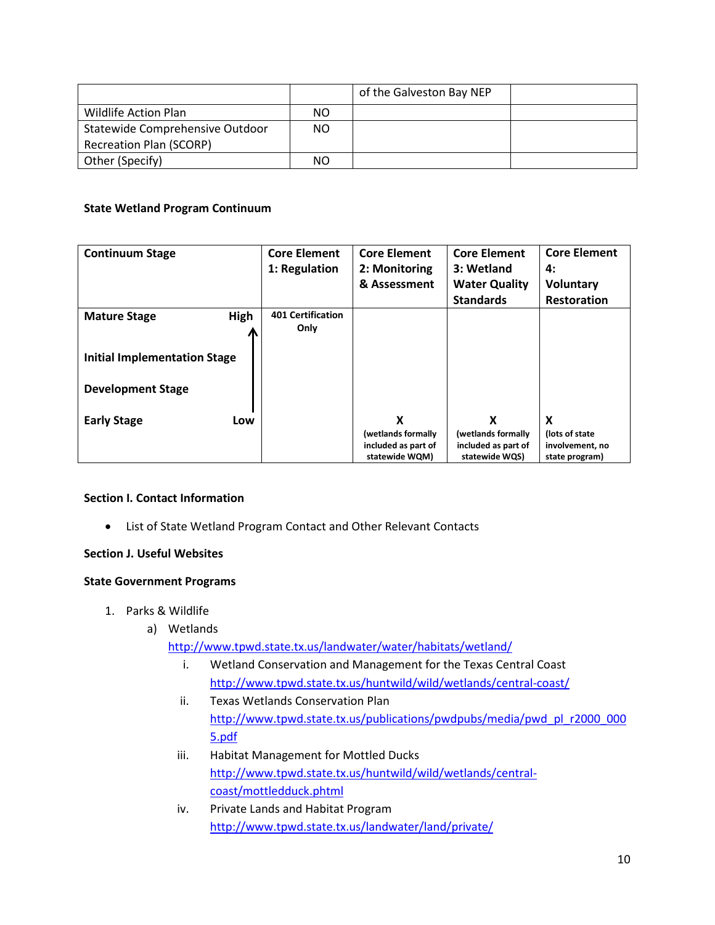|                                 |     | of the Galveston Bay NEP |  |
|---------------------------------|-----|--------------------------|--|
| Wildlife Action Plan            | ΝO  |                          |  |
| Statewide Comprehensive Outdoor | NO. |                          |  |
| <b>Recreation Plan (SCORP)</b>  |     |                          |  |
| Other (Specify)                 | ΝO  |                          |  |

## **State Wetland Program Continuum**

| <b>Continuum Stage</b>              | <b>Core Element</b>      | <b>Core Element</b> | <b>Core Element</b>  | <b>Core Element</b> |
|-------------------------------------|--------------------------|---------------------|----------------------|---------------------|
|                                     | 1: Regulation            | 2: Monitoring       | 3: Wetland           | 4:                  |
|                                     |                          | & Assessment        | <b>Water Quality</b> | Voluntary           |
|                                     |                          |                     | <b>Standards</b>     | <b>Restoration</b>  |
| High<br><b>Mature Stage</b>         | <b>401 Certification</b> |                     |                      |                     |
|                                     | Only                     |                     |                      |                     |
|                                     |                          |                     |                      |                     |
| <b>Initial Implementation Stage</b> |                          |                     |                      |                     |
|                                     |                          |                     |                      |                     |
| <b>Development Stage</b>            |                          |                     |                      |                     |
|                                     |                          |                     |                      |                     |
| <b>Early Stage</b><br>Low           |                          | X                   | x                    | X                   |
|                                     |                          | (wetlands formally  | (wetlands formally   | (lots of state      |
|                                     |                          | included as part of | included as part of  | involvement, no     |
|                                     |                          | statewide WQM)      | statewide WQS)       | state program)      |

## **Section I. Contact Information**

• List of State Wetland Program Contact and Other Relevant Contacts

## **Section J. Useful Websites**

## **State Government Programs**

- 1. Parks & Wildlife
	- a) Wetlands

<http://www.tpwd.state.tx.us/landwater/water/habitats/wetland/>

- i. Wetland Conservation and Management for the Texas Central Coast <http://www.tpwd.state.tx.us/huntwild/wild/wetlands/central-coast/>
- ii. Texas Wetlands Conservation Plan [http://www.tpwd.state.tx.us/publications/pwdpubs/media/pwd\\_pl\\_r2000\\_000](http://www.tpwd.state.tx.us/publications/pwdpubs/media/pwd_pl_r2000_0005.pdf) [5.pdf](http://www.tpwd.state.tx.us/publications/pwdpubs/media/pwd_pl_r2000_0005.pdf)
- iii. Habitat Management for Mottled Ducks [http://www.tpwd.state.tx.us/huntwild/wild/wetlands/central](http://www.tpwd.state.tx.us/huntwild/wild/wetlands/central-coast/mottledduck.phtml)[coast/mottledduck.phtml](http://www.tpwd.state.tx.us/huntwild/wild/wetlands/central-coast/mottledduck.phtml)
- iv. Private Lands and Habitat Program <http://www.tpwd.state.tx.us/landwater/land/private/>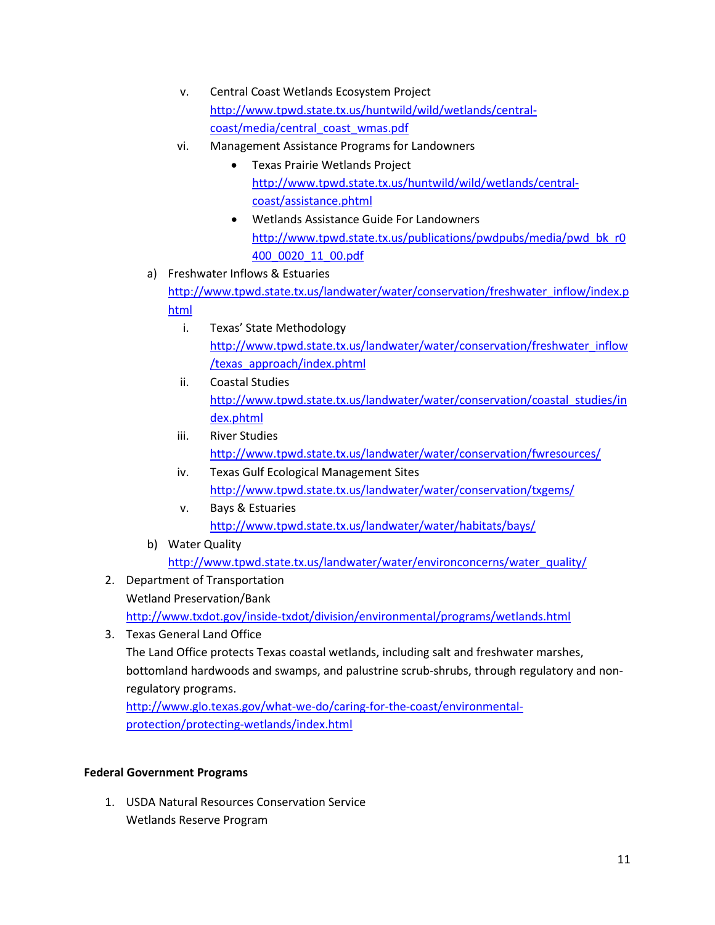- v. Central Coast Wetlands Ecosystem Project [http://www.tpwd.state.tx.us/huntwild/wild/wetlands/central](http://www.tpwd.state.tx.us/huntwild/wild/wetlands/central-coast/media/central_coast_wmas.pdf)[coast/media/central\\_coast\\_wmas.pdf](http://www.tpwd.state.tx.us/huntwild/wild/wetlands/central-coast/media/central_coast_wmas.pdf)
- vi. Management Assistance Programs for Landowners
	- Texas Prairie Wetlands Project [http://www.tpwd.state.tx.us/huntwild/wild/wetlands/central](http://www.tpwd.state.tx.us/huntwild/wild/wetlands/central-coast/assistance.phtml)[coast/assistance.phtml](http://www.tpwd.state.tx.us/huntwild/wild/wetlands/central-coast/assistance.phtml)
	- Wetlands Assistance Guide For Landowners [http://www.tpwd.state.tx.us/publications/pwdpubs/media/pwd\\_bk\\_r0](http://www.tpwd.state.tx.us/publications/pwdpubs/media/pwd_bk_r0400_0020_11_00.pdf) [400\\_0020\\_11\\_00.pdf](http://www.tpwd.state.tx.us/publications/pwdpubs/media/pwd_bk_r0400_0020_11_00.pdf)
- a) Freshwater Inflows & Estuaries [http://www.tpwd.state.tx.us/landwater/water/conservation/freshwater\\_inflow/index.p](http://www.tpwd.state.tx.us/landwater/water/conservation/freshwater_inflow/index.phtml) [html](http://www.tpwd.state.tx.us/landwater/water/conservation/freshwater_inflow/index.phtml)
	- i. Texas' State Methodology [http://www.tpwd.state.tx.us/landwater/water/conservation/freshwater\\_inflow](http://www.tpwd.state.tx.us/landwater/water/conservation/freshwater_inflow/texas_approach/index.phtml) [/texas\\_approach/index.phtml](http://www.tpwd.state.tx.us/landwater/water/conservation/freshwater_inflow/texas_approach/index.phtml)
	- ii. Coastal Studies [http://www.tpwd.state.tx.us/landwater/water/conservation/coastal\\_studies/in](http://www.tpwd.state.tx.us/landwater/water/conservation/coastal_studies/index.phtml) [dex.phtml](http://www.tpwd.state.tx.us/landwater/water/conservation/coastal_studies/index.phtml)
	- iii. River Studies <http://www.tpwd.state.tx.us/landwater/water/conservation/fwresources/>
	- iv. Texas Gulf Ecological Management Sites <http://www.tpwd.state.tx.us/landwater/water/conservation/txgems/>
	- v. Bays & Estuaries <http://www.tpwd.state.tx.us/landwater/water/habitats/bays/>
- b) Water Quality [http://www.tpwd.state.tx.us/landwater/water/environconcerns/water\\_quality/](http://www.tpwd.state.tx.us/landwater/water/environconcerns/water_quality/)
- 2. Department of Transportation Wetland Preservation/Bank <http://www.txdot.gov/inside-txdot/division/environmental/programs/wetlands.html>
- 3. Texas General Land Office

The Land Office protects Texas coastal wetlands, including salt and freshwater marshes, bottomland hardwoods and swamps, and palustrine scrub-shrubs, through regulatory and nonregulatory programs.

[http://www.glo.texas.gov/what-we-do/caring-for-the-coast/environmental](http://www.glo.texas.gov/what-we-do/caring-for-the-coast/environmental-%20protection/protecting-wetlands/index.html)[protection/protecting-wetlands/index.html](http://www.glo.texas.gov/what-we-do/caring-for-the-coast/environmental-%20protection/protecting-wetlands/index.html)

# **Federal Government Programs**

1. USDA Natural Resources Conservation Service Wetlands Reserve Program